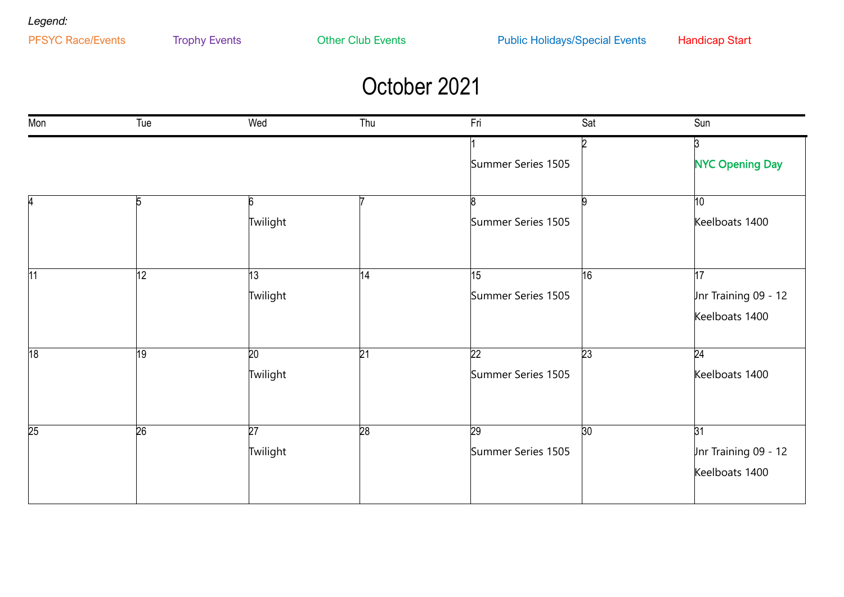*Legend:*

### October 2021

| Mon             | Tue             | Wed             | Thu             | Fri                | Sat             | Sun                    |
|-----------------|-----------------|-----------------|-----------------|--------------------|-----------------|------------------------|
|                 |                 |                 |                 |                    |                 | $\overline{3}$         |
|                 |                 |                 |                 | Summer Series 1505 |                 | <b>NYC Opening Day</b> |
|                 |                 |                 |                 |                    |                 |                        |
|                 | 5               | 6               |                 |                    |                 | 10                     |
|                 |                 | Twilight        |                 | Summer Series 1505 |                 | Keelboats 1400         |
|                 |                 |                 |                 |                    |                 |                        |
| 11              | $ 12\rangle$    | 13              | 14              | 15                 | 16              | 17                     |
|                 |                 | Twilight        |                 | Summer Series 1505 |                 | Jnr Training 09 - 12   |
|                 |                 |                 |                 |                    |                 | Keelboats 1400         |
|                 |                 |                 |                 |                    |                 |                        |
| 18              | $\overline{19}$ | $\overline{20}$ | $\overline{21}$ | $\overline{22}$    | $\overline{23}$ | $\overline{24}$        |
|                 |                 | Twilight        |                 | Summer Series 1505 |                 | Keelboats 1400         |
|                 |                 |                 |                 |                    |                 |                        |
| $\overline{25}$ | 26              | 27              | 28              | $\overline{29}$    | 30              | $\overline{31}$        |
|                 |                 | Twilight        |                 | Summer Series 1505 |                 | Jnr Training 09 - 12   |
|                 |                 |                 |                 |                    |                 | Keelboats 1400         |
|                 |                 |                 |                 |                    |                 |                        |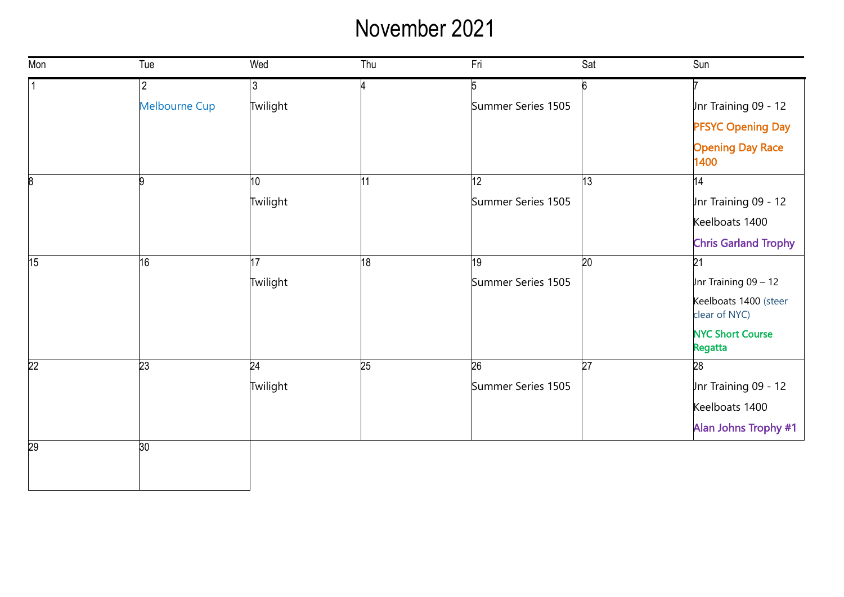# November 2021

| Mon             | Tue                  | Wed             | Thu             | Fri                | Sat             | Sun                                    |
|-----------------|----------------------|-----------------|-----------------|--------------------|-----------------|----------------------------------------|
|                 | $\overline{2}$       | 3               | 4               | 5                  | ĥ               |                                        |
|                 | <b>Melbourne Cup</b> | Twilight        |                 | Summer Series 1505 |                 | Inr Training 09 - 12                   |
|                 |                      |                 |                 |                    |                 | <b>PFSYC Opening Day</b>               |
|                 |                      |                 |                 |                    |                 | <b>Opening Day Race</b><br>1400        |
| 8               | q                    | 10 <sup>1</sup> | 11              | 12                 | $ 13\rangle$    | 14                                     |
|                 |                      | Twilight        |                 | Summer Series 1505 |                 | Jnr Training 09 - 12                   |
|                 |                      |                 |                 |                    |                 | Keelboats 1400                         |
|                 |                      |                 |                 |                    |                 | <b>Chris Garland Trophy</b>            |
| 15              | 16                   | 17              | 18              | 19                 | $\overline{20}$ | $\overline{21}$                        |
|                 |                      | Twilight        |                 | Summer Series 1505 |                 | Jnr Training $09 - 12$                 |
|                 |                      |                 |                 |                    |                 | Keelboats 1400 (steer<br>clear of NYC) |
|                 |                      |                 |                 |                    |                 | <b>NYC Short Course</b><br>Regatta     |
| $\overline{22}$ | $\overline{23}$      | $\overline{24}$ | $\overline{25}$ | 26                 | $\overline{27}$ | $\overline{28}$                        |
|                 |                      | Twilight        |                 | Summer Series 1505 |                 | Jnr Training 09 - 12                   |
|                 |                      |                 |                 |                    |                 | Keelboats 1400                         |
|                 |                      |                 |                 |                    |                 | Alan Johns Trophy #1                   |
| 29              | 30                   |                 |                 |                    |                 |                                        |
|                 |                      |                 |                 |                    |                 |                                        |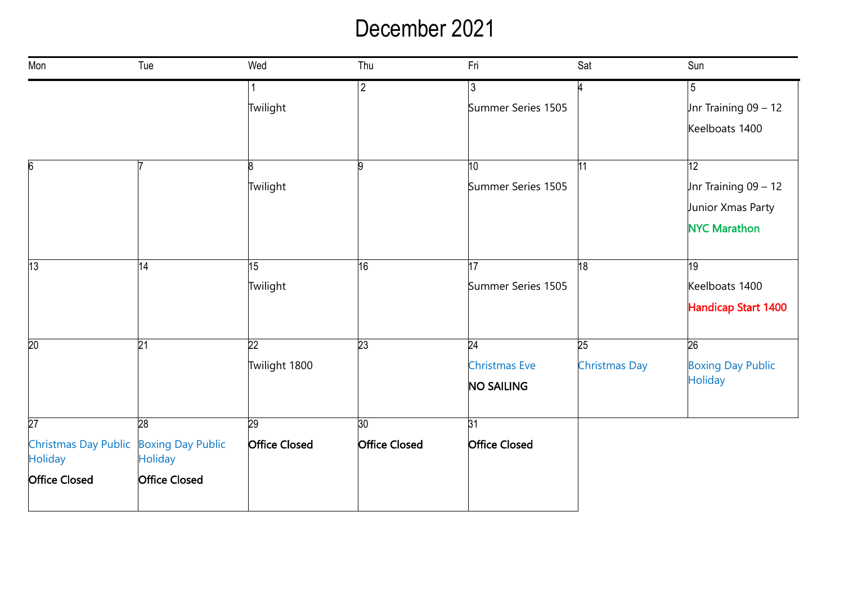#### December 2021

| Mon                                                      | Tue                  | Wed                  | Thu                  | Fri                  | Sat                  | Sun                      |
|----------------------------------------------------------|----------------------|----------------------|----------------------|----------------------|----------------------|--------------------------|
|                                                          |                      |                      | $\sqrt{2}$           | 3                    |                      | $5\phantom{.0}$          |
|                                                          |                      | Twilight             |                      | Summer Series 1505   |                      | Jnr Training $09 - 12$   |
|                                                          |                      |                      |                      |                      |                      | Keelboats 1400           |
|                                                          |                      |                      |                      |                      |                      |                          |
| 6                                                        |                      | ß                    | lQ                   | 10 <sup>°</sup>      | 11                   | 12                       |
|                                                          |                      | Twilight             |                      | Summer Series 1505   |                      | Jnr Training $09 - 12$   |
|                                                          |                      |                      |                      |                      |                      | Junior Xmas Party        |
|                                                          |                      |                      |                      |                      |                      | <b>NYC Marathon</b>      |
|                                                          |                      |                      |                      |                      |                      |                          |
| 13                                                       | 14                   | 15                   | $\overline{16}$      | 17                   | 18                   | $\overline{19}$          |
|                                                          |                      | Twilight             |                      | Summer Series 1505   |                      | Keelboats 1400           |
|                                                          |                      |                      |                      |                      |                      | Handicap Start 1400      |
| 20                                                       | 21                   | 22                   | $\overline{23}$      | 24                   | 25                   | $\overline{26}$          |
|                                                          |                      | Twilight 1800        |                      | <b>Christmas Eve</b> | <b>Christmas Day</b> | <b>Boxing Day Public</b> |
|                                                          |                      |                      |                      | NO SAILING           |                      | <b>Holiday</b>           |
| $\overline{27}$                                          | 28                   | 29                   | 30 <sub>o</sub>      | 31                   |                      |                          |
| Christmas Day Public Boxing Day Public<br><b>Holiday</b> | <b>Holiday</b>       | <b>Office Closed</b> | <b>Office Closed</b> | <b>Office Closed</b> |                      |                          |
| <b>Office Closed</b>                                     | <b>Office Closed</b> |                      |                      |                      |                      |                          |
|                                                          |                      |                      |                      |                      |                      |                          |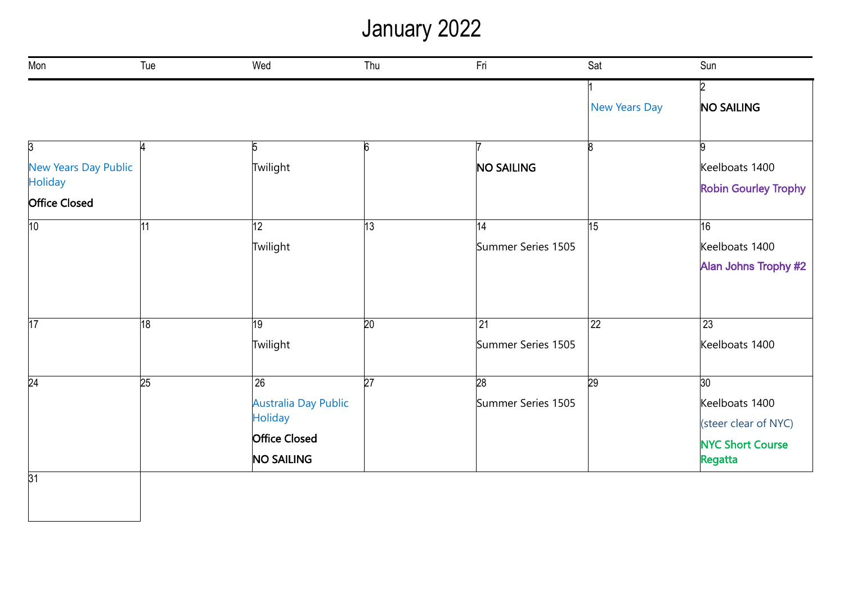# January 2022

| Mon                                    | Tue             | Wed                                       | Thu             | Fri                | Sat             | Sun                                |
|----------------------------------------|-----------------|-------------------------------------------|-----------------|--------------------|-----------------|------------------------------------|
|                                        |                 |                                           |                 |                    |                 | 2                                  |
|                                        |                 |                                           |                 |                    | New Years Day   | <b>NO SAILING</b>                  |
| 3                                      | И               | 5                                         | 6               |                    | R               | g                                  |
| New Years Day Public<br><b>Holiday</b> |                 | Twilight                                  |                 | <b>NO SAILING</b>  |                 | Keelboats 1400                     |
| <b>Office Closed</b>                   |                 |                                           |                 |                    |                 | <b>Robin Gourley Trophy</b>        |
| 10                                     | $\overline{11}$ | 12                                        | $ 13\rangle$    | 14                 | 15              | 16                                 |
|                                        |                 | Twilight                                  |                 | Summer Series 1505 |                 | Keelboats 1400                     |
|                                        |                 |                                           |                 |                    |                 | Alan Johns Trophy #2               |
| $\overline{17}$                        | 18              | 19                                        | $\overline{20}$ | 21                 | $\overline{22}$ | 23                                 |
|                                        |                 | Twilight                                  |                 | Summer Series 1505 |                 | Keelboats 1400                     |
| 24                                     | $\overline{25}$ | $\overline{26}$                           | $\overline{27}$ | $\overline{28}$    | 29              | 30                                 |
|                                        |                 | <b>Australia Day Public</b>               |                 | Summer Series 1505 |                 | Keelboats 1400                     |
|                                        |                 | <b>Holiday</b>                            |                 |                    |                 | (steer clear of NYC)               |
|                                        |                 | <b>Office Closed</b><br><b>NO SAILING</b> |                 |                    |                 | <b>NYC Short Course</b><br>Regatta |
| 31                                     |                 |                                           |                 |                    |                 |                                    |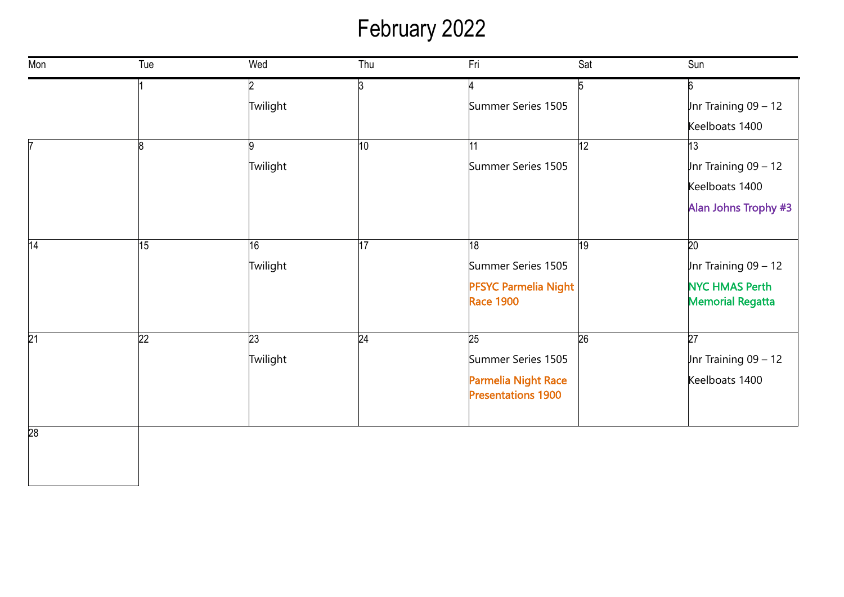# February 2022

| Mon | Tue             | Wed      | Thu             | Fri                                              | Sat             | Sun                     |
|-----|-----------------|----------|-----------------|--------------------------------------------------|-----------------|-------------------------|
|     |                 |          | ß               |                                                  | 5               | 6                       |
|     |                 | Twilight |                 | Summer Series 1505                               |                 | $Jnr$ Training 09 - 12  |
|     |                 |          |                 |                                                  |                 | Keelboats 1400          |
|     | 18              |          | 10              | 11                                               | 12              | 13                      |
|     |                 | Twilight |                 | Summer Series 1505                               |                 | Jnr Training $09 - 12$  |
|     |                 |          |                 |                                                  |                 | Keelboats 1400          |
|     |                 |          |                 |                                                  |                 | Alan Johns Trophy #3    |
| 14  | 15              | 16       | 17              | 18                                               | 19              | $\overline{20}$         |
|     |                 | Twilight |                 | Summer Series 1505                               |                 | Jnr Training $09 - 12$  |
|     |                 |          |                 | <b>PFSYC Parmelia Night</b>                      |                 | <b>NYC HMAS Perth</b>   |
|     |                 |          |                 | <b>Race 1900</b>                                 |                 | <b>Memorial Regatta</b> |
| 21  | $\overline{22}$ | 23       | $\overline{24}$ | 25                                               | $\overline{26}$ | $\overline{27}$         |
|     |                 | Twilight |                 | Summer Series 1505                               |                 | $Jnr$ Training 09 - 12  |
|     |                 |          |                 | Parmelia Night Race<br><b>Presentations 1900</b> |                 | Keelboats 1400          |
| 28  |                 |          |                 |                                                  |                 |                         |
|     |                 |          |                 |                                                  |                 |                         |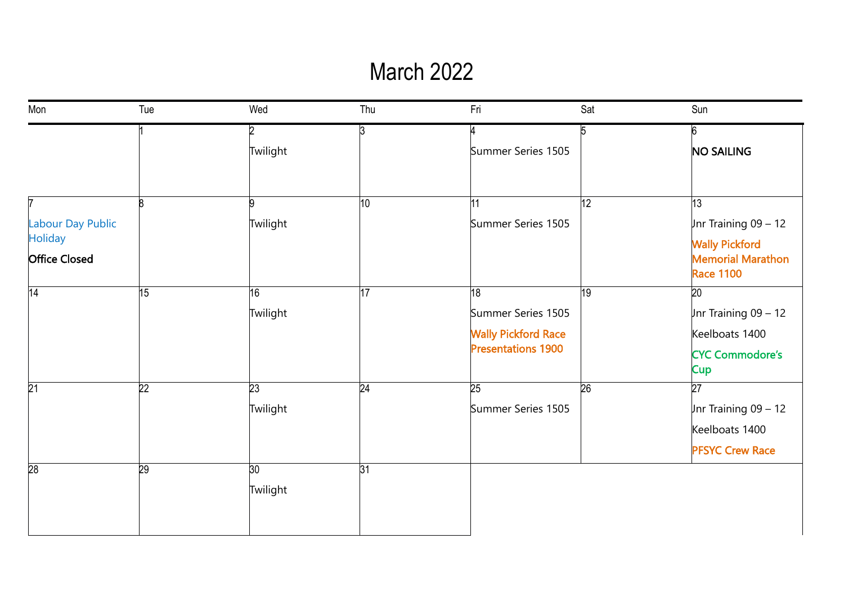#### March 2022

| Mon                                    | Tue             | Wed             | Thu             | Fri                        | Sat             | Sun                                                                   |
|----------------------------------------|-----------------|-----------------|-----------------|----------------------------|-----------------|-----------------------------------------------------------------------|
|                                        |                 | <sup>2</sup>    | ß.              |                            | 5               | ჩ                                                                     |
|                                        |                 | Twilight        |                 | Summer Series 1505         |                 | <b>NO SAILING</b>                                                     |
|                                        |                 |                 |                 |                            |                 |                                                                       |
| 7                                      | R               | 9               | $\overline{10}$ | 11                         | $\overline{12}$ | 13                                                                    |
| Labour Day Public                      |                 | Twilight        |                 | Summer Series 1505         |                 | Jnr Training $09 - 12$                                                |
| <b>Holiday</b><br><b>Office Closed</b> |                 |                 |                 |                            |                 | <b>Wally Pickford</b><br><b>Memorial Marathon</b><br><b>Race 1100</b> |
| 14                                     | 15              | 16              | 17              | 18                         | 19              | $\overline{20}$                                                       |
|                                        |                 | Twilight        |                 | Summer Series 1505         |                 | Jnr Training $09 - 12$                                                |
|                                        |                 |                 |                 | <b>Wally Pickford Race</b> |                 | Keelboats 1400                                                        |
|                                        |                 |                 |                 | <b>Presentations 1900</b>  |                 | <b>CYC Commodore's</b><br><b>Cup</b>                                  |
| $\overline{21}$                        | $\overline{22}$ | 23              | 24              | 25                         | $\overline{26}$ | $\overline{27}$                                                       |
|                                        |                 | Twilight        |                 | Summer Series 1505         |                 | Jnr Training $09 - 12$                                                |
|                                        |                 |                 |                 |                            |                 | Keelboats 1400                                                        |
|                                        |                 |                 |                 |                            |                 | <b>PFSYC Crew Race</b>                                                |
| 28                                     | 29              | 30 <sub>o</sub> | 31              |                            |                 |                                                                       |
|                                        |                 | Twilight        |                 |                            |                 |                                                                       |
|                                        |                 |                 |                 |                            |                 |                                                                       |
|                                        |                 |                 |                 |                            |                 |                                                                       |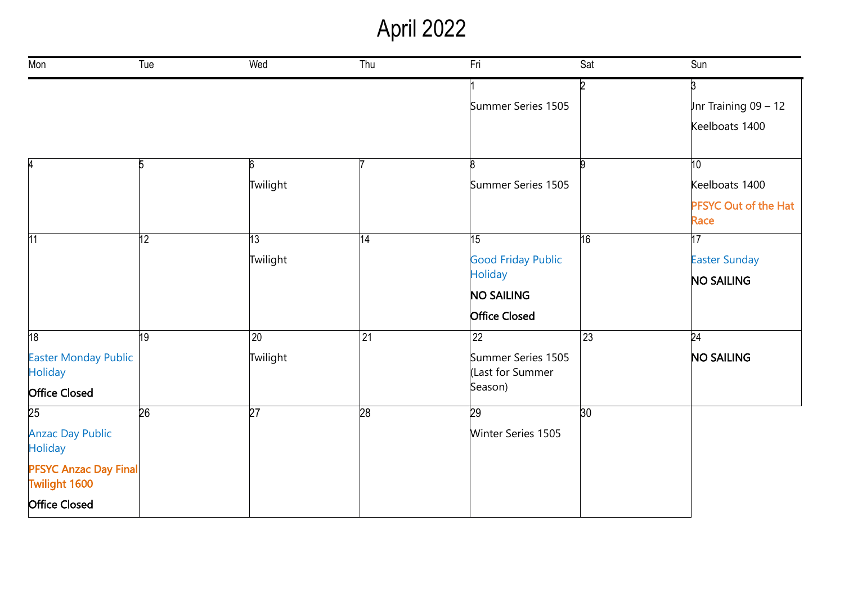# April 2022

| Mon                                                  | Tue             | Wed             | Thu             | Fri                                    | Sat | Sun                                 |
|------------------------------------------------------|-----------------|-----------------|-----------------|----------------------------------------|-----|-------------------------------------|
|                                                      |                 |                 |                 |                                        | ID. | $\overline{3}$                      |
|                                                      |                 |                 |                 | Summer Series 1505                     |     | Jnr Training $09 - 12$              |
|                                                      |                 |                 |                 |                                        |     | Keelboats 1400                      |
|                                                      | 5               | 6               |                 | 8                                      |     | 10 <sup>10</sup>                    |
|                                                      |                 | Twilight        |                 | Summer Series 1505                     |     | Keelboats 1400                      |
|                                                      |                 |                 |                 |                                        |     | <b>PFSYC Out of the Hat</b><br>Race |
| 11                                                   | 12              | 13              | 14              | 15                                     | 16  | 17                                  |
|                                                      | Twilight        |                 |                 | <b>Good Friday Public</b>              |     | <b>Easter Sunday</b>                |
|                                                      |                 |                 |                 | <b>Holiday</b>                         |     | <b>NO SAILING</b>                   |
|                                                      |                 |                 |                 | <b>NO SAILING</b>                      |     |                                     |
|                                                      |                 |                 |                 | <b>Office Closed</b>                   |     |                                     |
| 18                                                   | $ 19\rangle$    | $\overline{20}$ | 21              | $ 22\rangle$                           | 23  | 24                                  |
| <b>Easter Monday Public</b><br><b>Holiday</b>        |                 | Twilight        |                 | Summer Series 1505<br>(Last for Summer |     | <b>NO SAILING</b>                   |
| <b>Office Closed</b>                                 |                 |                 |                 | Season)                                |     |                                     |
| 25                                                   | $\overline{26}$ | $\overline{27}$ | $\overline{28}$ | 29                                     | 30  |                                     |
| <b>Anzac Day Public</b><br><b>Holiday</b>            |                 |                 |                 | Winter Series 1505                     |     |                                     |
| <b>PFSYC Anzac Day Final</b><br><b>Twilight 1600</b> |                 |                 |                 |                                        |     |                                     |
| <b>Office Closed</b>                                 |                 |                 |                 |                                        |     |                                     |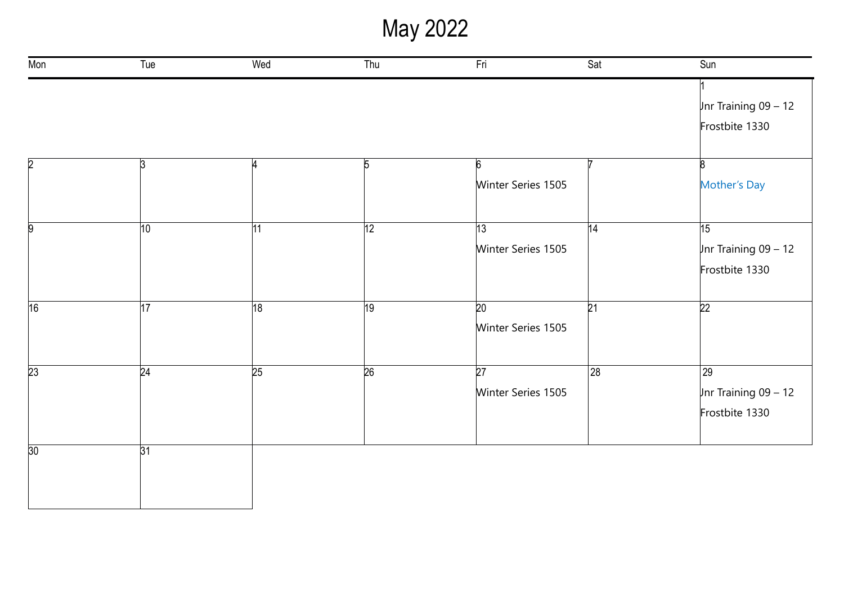May 2022

| Mon            | Tue             | Wed | Thu        | Fri                | Sat             | Sun                      |
|----------------|-----------------|-----|------------|--------------------|-----------------|--------------------------|
|                |                 |     |            |                    |                 |                          |
|                |                 |     |            |                    |                 | Jnr Training $09 - 12$   |
|                |                 |     |            |                    |                 | Frostbite 1330           |
| $\overline{2}$ | $\mathsf{B}$    |     | $\sqrt{5}$ | 6                  |                 | R                        |
|                |                 |     |            | Winter Series 1505 |                 | Mother's Day             |
| 9              | 10              | 11  | 12         | 13                 | $\overline{14}$ | 15                       |
|                |                 |     |            | Winter Series 1505 |                 | $ $ Jnr Training 09 - 12 |
|                |                 |     |            |                    |                 | Frostbite 1330           |
| 16             | 17              | 18  | 19         | 20                 | $\overline{21}$ | $\overline{22}$          |
|                |                 |     |            | Winter Series 1505 |                 |                          |
| 23             | 24              | 25  | 26         | $\overline{27}$    | 28              | 29                       |
|                |                 |     |            | Winter Series 1505 |                 | Jnr Training $09 - 12$   |
|                |                 |     |            |                    |                 | Frostbite 1330           |
| 30             | $\overline{31}$ |     |            |                    |                 |                          |
|                |                 |     |            |                    |                 |                          |
|                |                 |     |            |                    |                 |                          |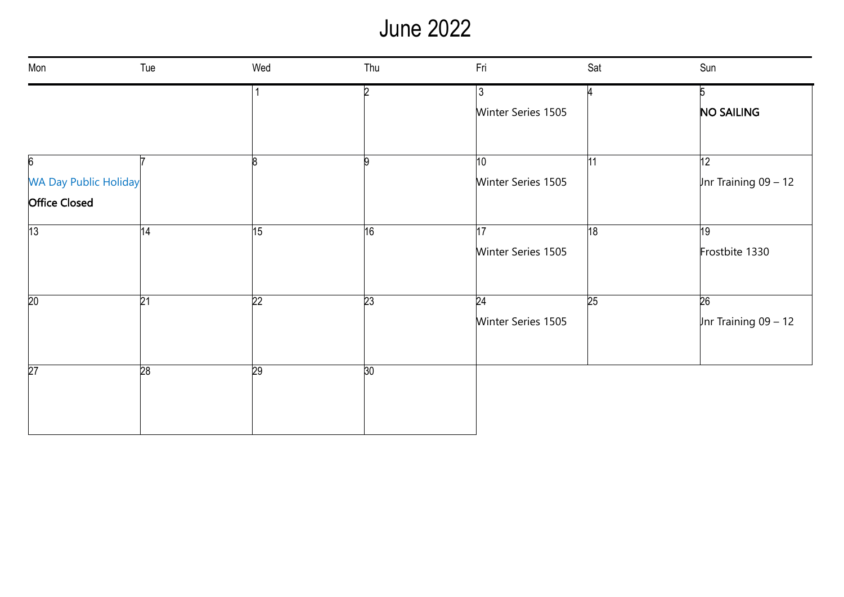# June 2022

| Mon                          | Tue             | Wed             | Thu             | Fri                | Sat | Sun                    |
|------------------------------|-----------------|-----------------|-----------------|--------------------|-----|------------------------|
|                              |                 |                 | b.              | 3                  |     | 5                      |
|                              |                 |                 |                 | Winter Series 1505 |     | <b>NO SAILING</b>      |
|                              |                 |                 |                 |                    |     |                        |
| $6\overline{6}$              |                 |                 | n               | 10                 | 11  | 12                     |
| <b>WA Day Public Holiday</b> |                 |                 |                 | Winter Series 1505 |     | Jnr Training $09 - 12$ |
| <b>Office Closed</b>         |                 |                 |                 |                    |     |                        |
| 13                           | 14              | 15              | 16              | 17                 | 18  | 19                     |
|                              |                 |                 |                 | Winter Series 1505 |     | Frostbite 1330         |
| 20                           | $\overline{21}$ | $\overline{22}$ | $\overline{23}$ | $\overline{24}$    | 25  | $\overline{26}$        |
|                              |                 |                 |                 | Winter Series 1505 |     | Jnr Training $09 - 12$ |
| $\overline{27}$              | 28              | 29              | 30              |                    |     |                        |
|                              |                 |                 |                 |                    |     |                        |
|                              |                 |                 |                 |                    |     |                        |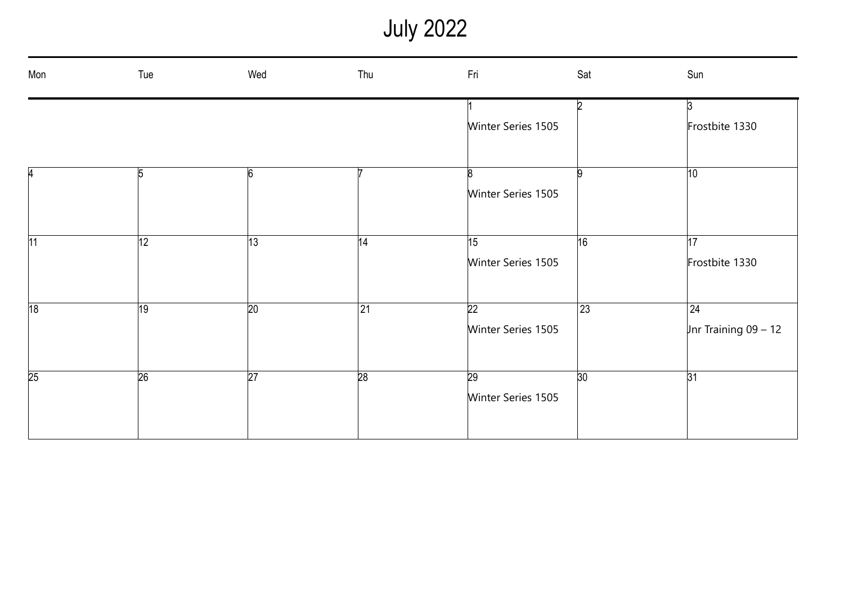July 2022

| Mon | Tue             | Wed             | Thu             | Fri                | Sat          | Sun                    |
|-----|-----------------|-----------------|-----------------|--------------------|--------------|------------------------|
|     |                 |                 |                 |                    | b.           | $\mathbf{3}$           |
|     |                 |                 |                 | Winter Series 1505 |              | Frostbite 1330         |
|     |                 |                 |                 |                    |              |                        |
| 4   | $\overline{5}$  | $6\overline{6}$ |                 | $\mathsf{B}$       | q            | 10                     |
|     |                 |                 |                 | Winter Series 1505 |              |                        |
|     |                 |                 |                 |                    |              |                        |
| 11  | 12              | 13              | 14              | 15                 | 16           | 17                     |
|     |                 |                 |                 | Winter Series 1505 |              | Frostbite 1330         |
|     |                 |                 |                 |                    |              |                        |
| 18  | 19              | $\overline{20}$ | $\overline{21}$ | $\overline{22}$    | $ 23\rangle$ | $\overline{24}$        |
|     |                 |                 |                 | Winter Series 1505 |              | Jnr Training $09 - 12$ |
|     |                 |                 |                 |                    |              |                        |
| 25  | $\overline{26}$ | $\overline{27}$ | $\overline{28}$ | 29                 | 30           | 31                     |
|     |                 |                 |                 | Winter Series 1505 |              |                        |
|     |                 |                 |                 |                    |              |                        |
|     |                 |                 |                 |                    |              |                        |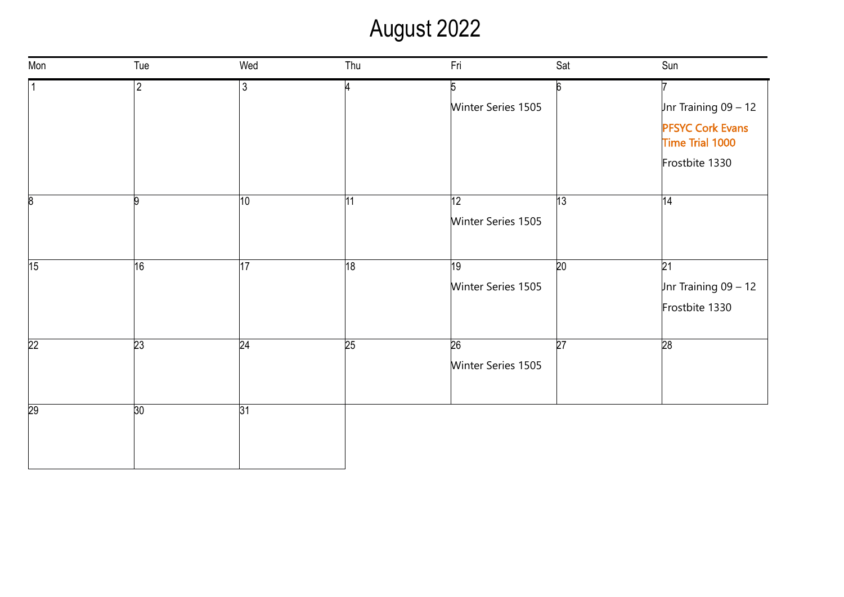### August 2022

| Mon             | Tue             | Wed             | Thu | Fri                | Sat             | Sun                                        |
|-----------------|-----------------|-----------------|-----|--------------------|-----------------|--------------------------------------------|
|                 | $\overline{2}$  | 3               |     | 5                  | 6               |                                            |
|                 |                 |                 |     | Winter Series 1505 |                 | Jnr Training $09 - 12$                     |
|                 |                 |                 |     |                    |                 | <b>PFSYC Cork Evans</b><br>Time Trial 1000 |
|                 |                 |                 |     |                    |                 | Frostbite 1330                             |
| 8               | 9               | $ 10\rangle$    | 11  | 12                 | 13              | 14                                         |
|                 |                 |                 |     | Winter Series 1505 |                 |                                            |
| 15              | 16              | $\overline{17}$ | 18  | 19                 | 20              | $\overline{21}$                            |
|                 |                 |                 |     | Winter Series 1505 |                 | Jnr Training $09 - 12$                     |
|                 |                 |                 |     |                    |                 | Frostbite 1330                             |
| $\overline{22}$ | $\overline{23}$ | 24              | 25  | $\overline{26}$    | $\overline{27}$ | 28                                         |
|                 |                 |                 |     | Winter Series 1505 |                 |                                            |
| 29              | 30              | 31              |     |                    |                 |                                            |
|                 |                 |                 |     |                    |                 |                                            |
|                 |                 |                 |     |                    |                 |                                            |